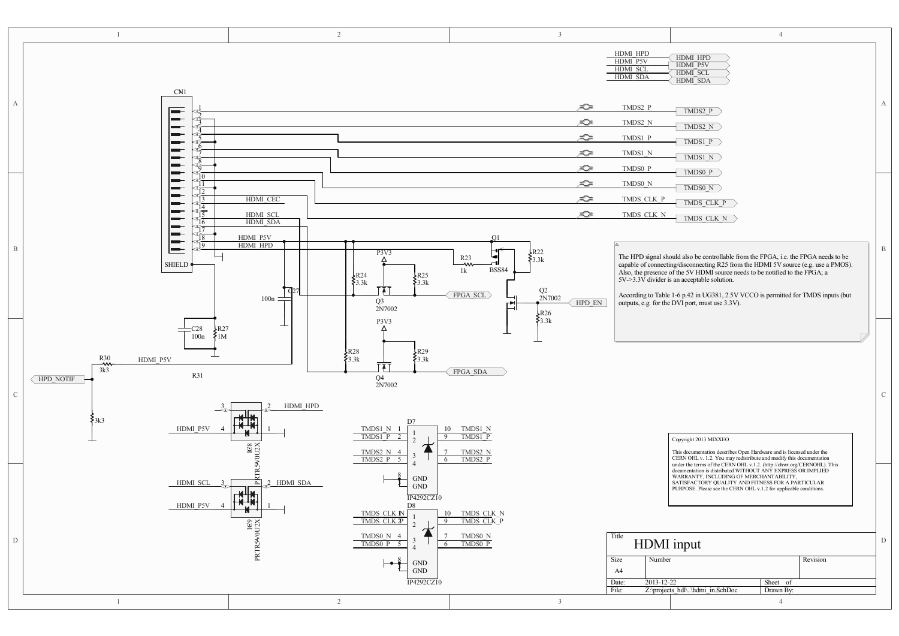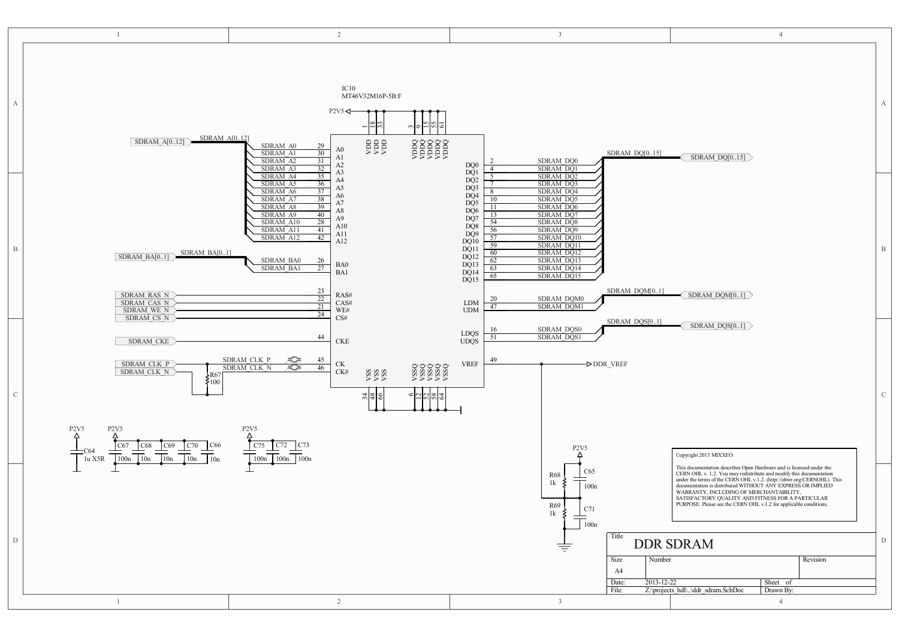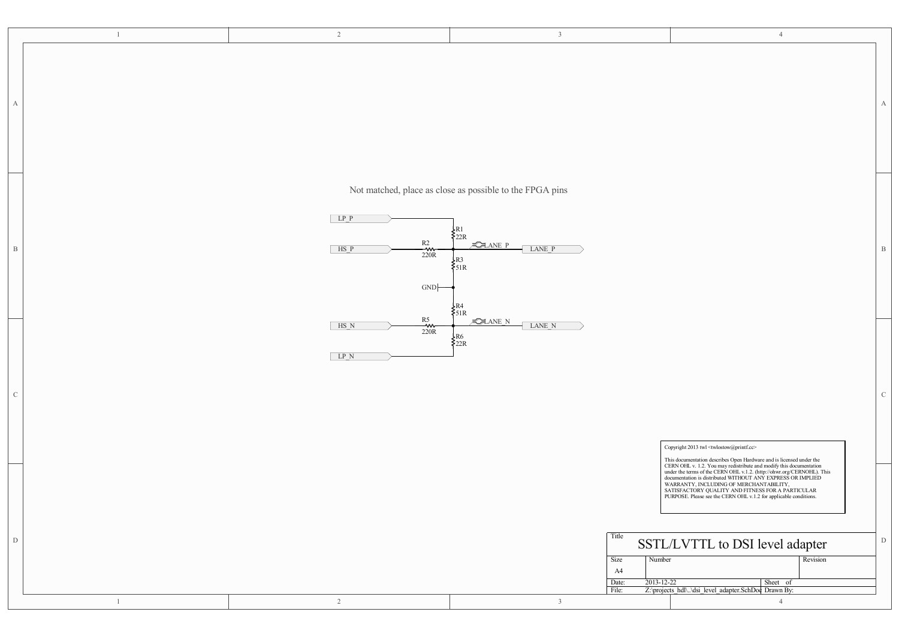|                           | $\mathbf{1}$ | $\overline{2}$                            | $\overline{\mathbf{3}}$                                                                                                                                                                 | $\overline{4}$                                                                                                                                                                                                                                                                                                                                                     |              |
|---------------------------|--------------|-------------------------------------------|-----------------------------------------------------------------------------------------------------------------------------------------------------------------------------------------|--------------------------------------------------------------------------------------------------------------------------------------------------------------------------------------------------------------------------------------------------------------------------------------------------------------------------------------------------------------------|--------------|
| $\boldsymbol{\mathrm{A}}$ |              |                                           |                                                                                                                                                                                         |                                                                                                                                                                                                                                                                                                                                                                    | A            |
| $\, {\bf B}$              |              | $LP$ $P$<br>$R2$<br>220R<br>$HS_P$<br>GND | Not matched, place as close as possible to the FPGA pins<br>$\begin{cases} R1 \\ 22R \end{cases}$<br>$ZANE$ P<br>LANE P<br>$\begin{cases} R3 \\ 51R \end{cases}$<br>₹R4<br>$\sum_{51R}$ |                                                                                                                                                                                                                                                                                                                                                                    | $\, {\bf B}$ |
| $\mathbf C$               |              | R5<br>$\;$ HS N<br>≁<br>220R<br>$LP_N$    | <b>CLANE</b> N<br>LANE N<br>$\begin{cases} R6 \\ 22R \end{cases}$                                                                                                                       | Copyright 2013 twl <twlostow@printf.cc><br/>This documentation describes Open Hardware and is licensed under the</twlostow@printf.cc>                                                                                                                                                                                                                              | $\mathbf C$  |
| ${\rm D}$                 | $\mathbf{1}$ | $\overline{2}$                            | Title<br>Number<br>Size<br>A4<br>$2013 - 12 - 22$<br>Date:<br>File:<br>$\overline{3}$                                                                                                   | 1 Ins occumentation describes Open Harvarde and S incense under the CERN OHL v. 1.2. You may redistribute and modify this documentation under the terms of the CERN OHL v.1.2. (http://ohw.org/CERNOHL). This ware accuracy of<br>SSTL/LVTTL to DSI level adapter<br>Revision<br>Sheet of<br>Z:\projects_hdl\\dsi_level_adapter.SchDoc_Drawn By:<br>$\overline{4}$ | $\mathbf D$  |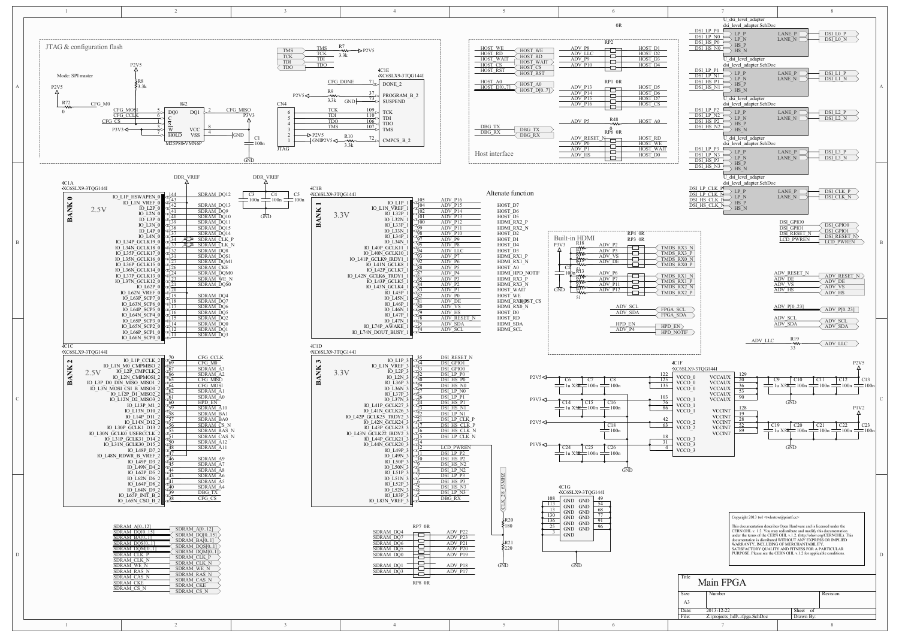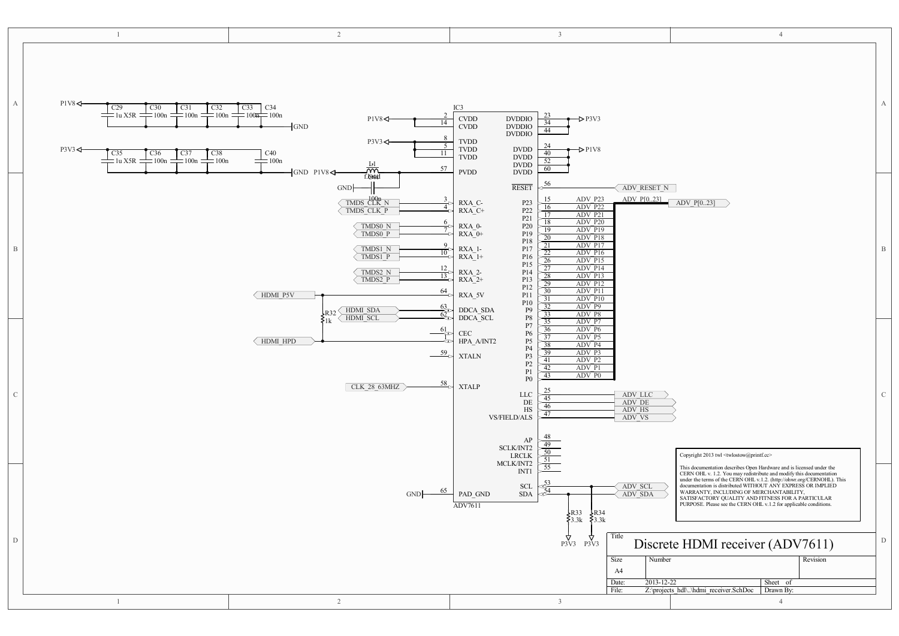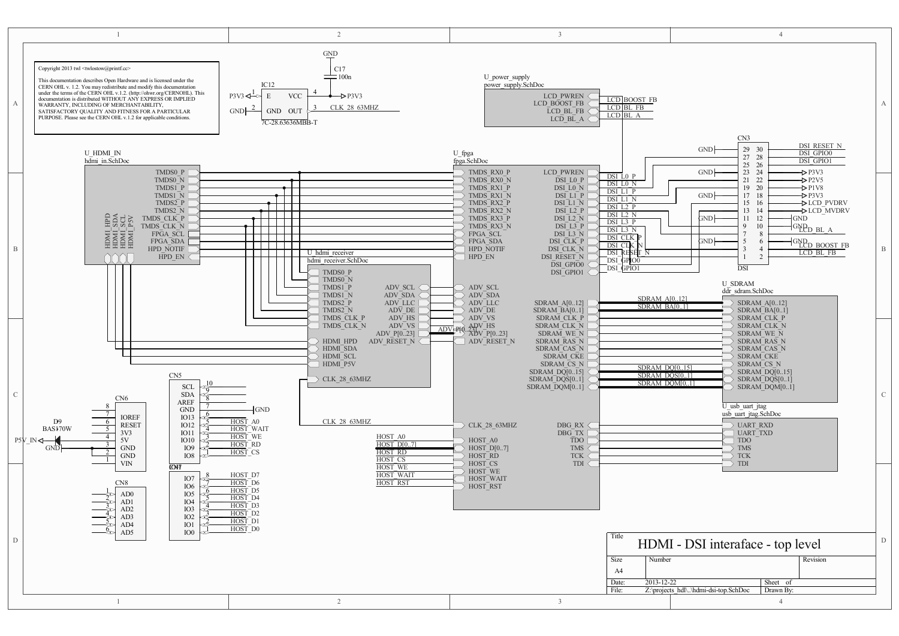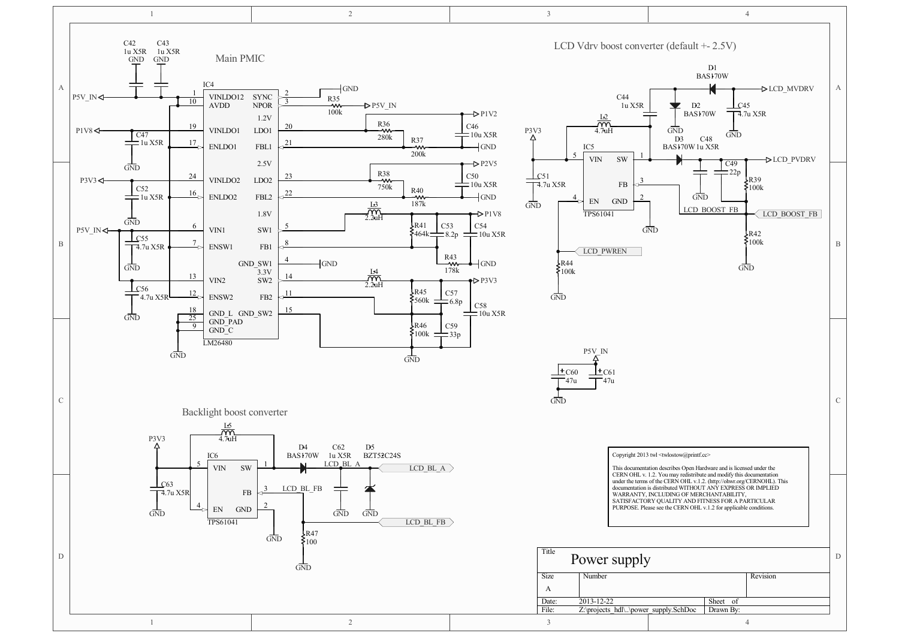